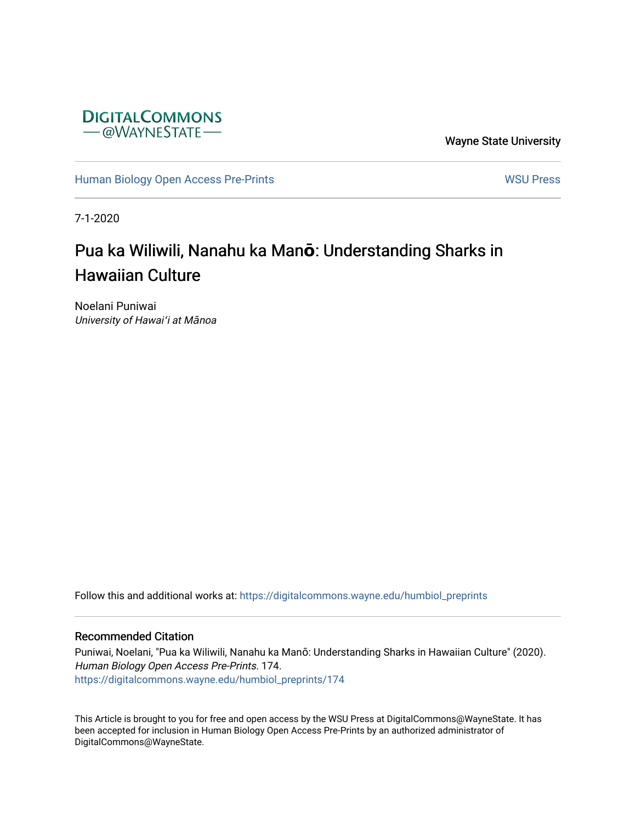

Wayne State University

[Human Biology Open Access Pre-Prints](https://digitalcommons.wayne.edu/humbiol_preprints) November 2012 1999 WSU Press

7-1-2020

# Pua ka Wiliwili, Nanahu ka Man**ō**: Understanding Sharks in Hawaiian Culture

Noelani Puniwai University of Hawai<sup>ʻ</sup>i at Mānoa

Follow this and additional works at: [https://digitalcommons.wayne.edu/humbiol\\_preprints](https://digitalcommons.wayne.edu/humbiol_preprints?utm_source=digitalcommons.wayne.edu%2Fhumbiol_preprints%2F174&utm_medium=PDF&utm_campaign=PDFCoverPages) 

# Recommended Citation

Puniwai, Noelani, "Pua ka Wiliwili, Nanahu ka Manō: Understanding Sharks in Hawaiian Culture" (2020). Human Biology Open Access Pre-Prints. 174. [https://digitalcommons.wayne.edu/humbiol\\_preprints/174](https://digitalcommons.wayne.edu/humbiol_preprints/174?utm_source=digitalcommons.wayne.edu%2Fhumbiol_preprints%2F174&utm_medium=PDF&utm_campaign=PDFCoverPages) 

This Article is brought to you for free and open access by the WSU Press at DigitalCommons@WayneState. It has been accepted for inclusion in Human Biology Open Access Pre-Prints by an authorized administrator of DigitalCommons@WayneState.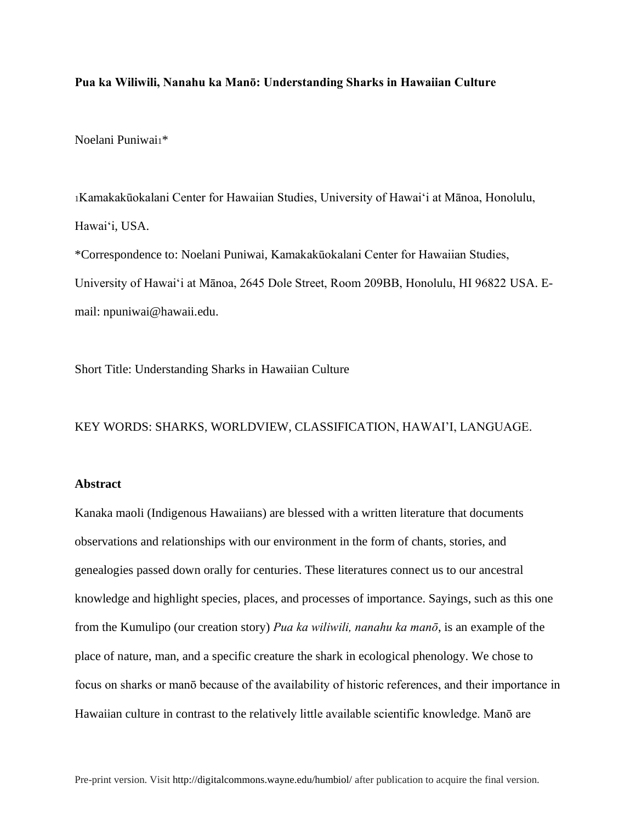# **Pua ka Wiliwili, Nanahu ka Manō: Understanding Sharks in Hawaiian Culture**

Noelani Puniwai1\*

<sup>1</sup>Kamakakūokalani Center for Hawaiian Studies, University of Hawaiʻi at Mānoa, Honolulu, Hawaiʻi, USA.

\*Correspondence to: Noelani Puniwai, Kamakakūokalani Center for Hawaiian Studies, University of Hawaiʻi at Mānoa, 2645 Dole Street, Room 209BB, Honolulu, HI 96822 USA. Email: npuniwai@hawaii.edu.

Short Title: Understanding Sharks in Hawaiian Culture

# KEY WORDS: SHARKS, WORLDVIEW, CLASSIFICATION, HAWAI'I, LANGUAGE.

# **Abstract**

Kanaka maoli (Indigenous Hawaiians) are blessed with a written literature that documents observations and relationships with our environment in the form of chants, stories, and genealogies passed down orally for centuries. These literatures connect us to our ancestral knowledge and highlight species, places, and processes of importance. Sayings, such as this one from the Kumulipo (our creation story) *Pua ka wiliwili, nanahu ka manō*, is an example of the place of nature, man, and a specific creature the shark in ecological phenology. We chose to focus on sharks or manō because of the availability of historic references, and their importance in Hawaiian culture in contrast to the relatively little available scientific knowledge. Manō are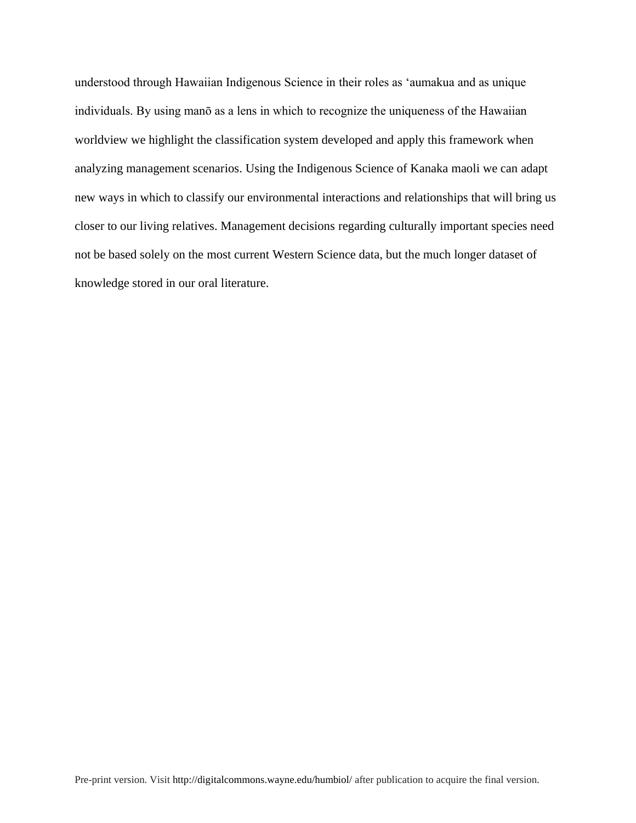understood through Hawaiian Indigenous Science in their roles as ʻaumakua and as unique individuals. By using manō as a lens in which to recognize the uniqueness of the Hawaiian worldview we highlight the classification system developed and apply this framework when analyzing management scenarios. Using the Indigenous Science of Kanaka maoli we can adapt new ways in which to classify our environmental interactions and relationships that will bring us closer to our living relatives. Management decisions regarding culturally important species need not be based solely on the most current Western Science data, but the much longer dataset of knowledge stored in our oral literature.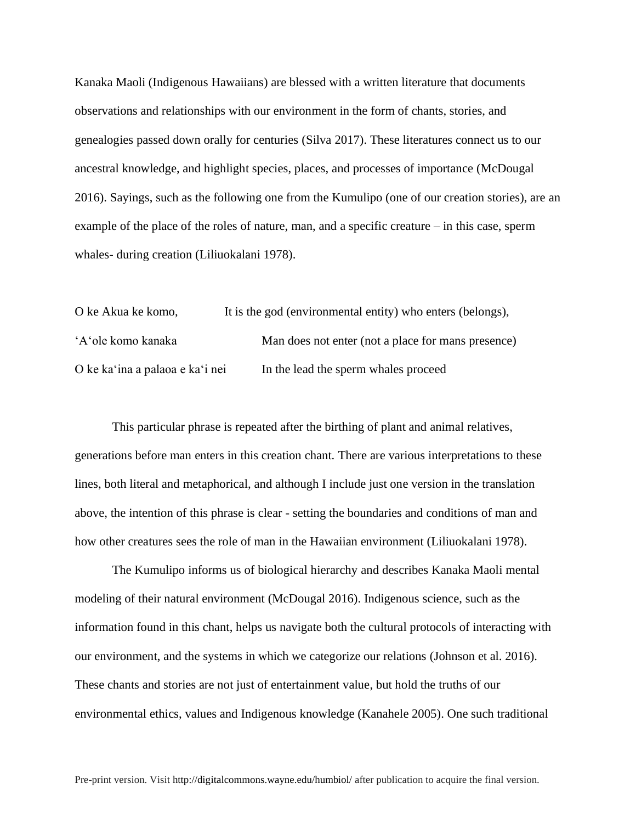Kanaka Maoli (Indigenous Hawaiians) are blessed with a written literature that documents observations and relationships with our environment in the form of chants, stories, and genealogies passed down orally for centuries (Silva 2017). These literatures connect us to our ancestral knowledge, and highlight species, places, and processes of importance (McDougal 2016). Sayings, such as the following one from the Kumulipo (one of our creation stories), are an example of the place of the roles of nature, man, and a specific creature – in this case, sperm whales- during creation (Liliuokalani 1978).

| O ke Akua ke komo,              | It is the god (environmental entity) who enters (belongs), |
|---------------------------------|------------------------------------------------------------|
| 'A'ole komo kanaka              | Man does not enter (not a place for mans presence)         |
| O ke ka'ina a palaoa e ka'i nei | In the lead the sperm whales proceed                       |

This particular phrase is repeated after the birthing of plant and animal relatives, generations before man enters in this creation chant. There are various interpretations to these lines, both literal and metaphorical, and although I include just one version in the translation above, the intention of this phrase is clear - setting the boundaries and conditions of man and how other creatures sees the role of man in the Hawaiian environment (Liliuokalani 1978).

The Kumulipo informs us of biological hierarchy and describes Kanaka Maoli mental modeling of their natural environment (McDougal 2016). Indigenous science, such as the information found in this chant, helps us navigate both the cultural protocols of interacting with our environment, and the systems in which we categorize our relations (Johnson et al. 2016). These chants and stories are not just of entertainment value, but hold the truths of our environmental ethics, values and Indigenous knowledge (Kanahele 2005). One such traditional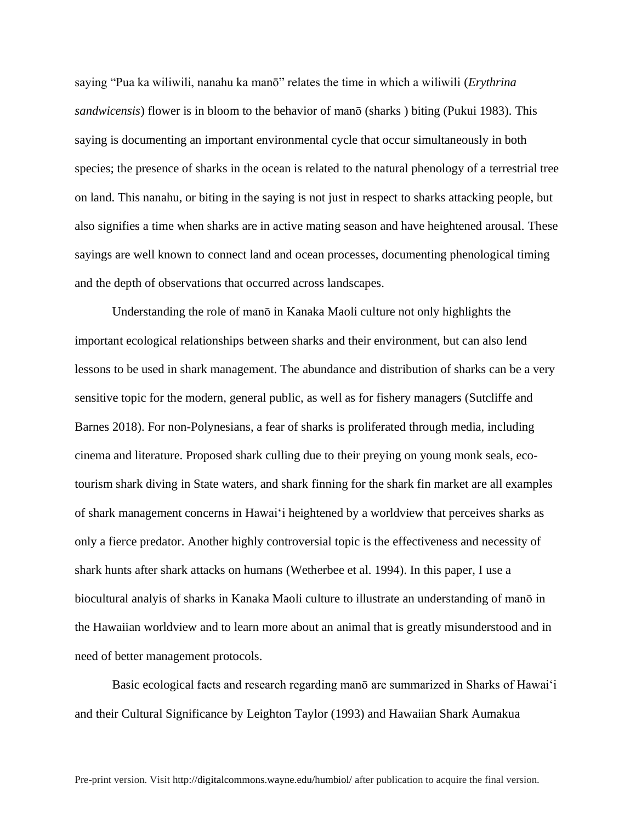saying "Pua ka wiliwili, nanahu ka manō" relates the time in which a wiliwili (*Erythrina sandwicensis*) flower is in bloom to the behavior of manō (sharks ) biting (Pukui 1983). This saying is documenting an important environmental cycle that occur simultaneously in both species; the presence of sharks in the ocean is related to the natural phenology of a terrestrial tree on land. This nanahu, or biting in the saying is not just in respect to sharks attacking people, but also signifies a time when sharks are in active mating season and have heightened arousal. These sayings are well known to connect land and ocean processes, documenting phenological timing and the depth of observations that occurred across landscapes.

Understanding the role of manō in Kanaka Maoli culture not only highlights the important ecological relationships between sharks and their environment, but can also lend lessons to be used in shark management. The abundance and distribution of sharks can be a very sensitive topic for the modern, general public, as well as for fishery managers (Sutcliffe and Barnes 2018). For non-Polynesians, a fear of sharks is proliferated through media, including cinema and literature. Proposed shark culling due to their preying on young monk seals, ecotourism shark diving in State waters, and shark finning for the shark fin market are all examples of shark management concerns in Hawaiʻi heightened by a worldview that perceives sharks as only a fierce predator. Another highly controversial topic is the effectiveness and necessity of shark hunts after shark attacks on humans (Wetherbee et al. 1994). In this paper, I use a biocultural analyis of sharks in Kanaka Maoli culture to illustrate an understanding of manō in the Hawaiian worldview and to learn more about an animal that is greatly misunderstood and in need of better management protocols.

Basic ecological facts and research regarding manō are summarized in Sharks of Hawaiʻi and their Cultural Significance by Leighton Taylor (1993) and Hawaiian Shark Aumakua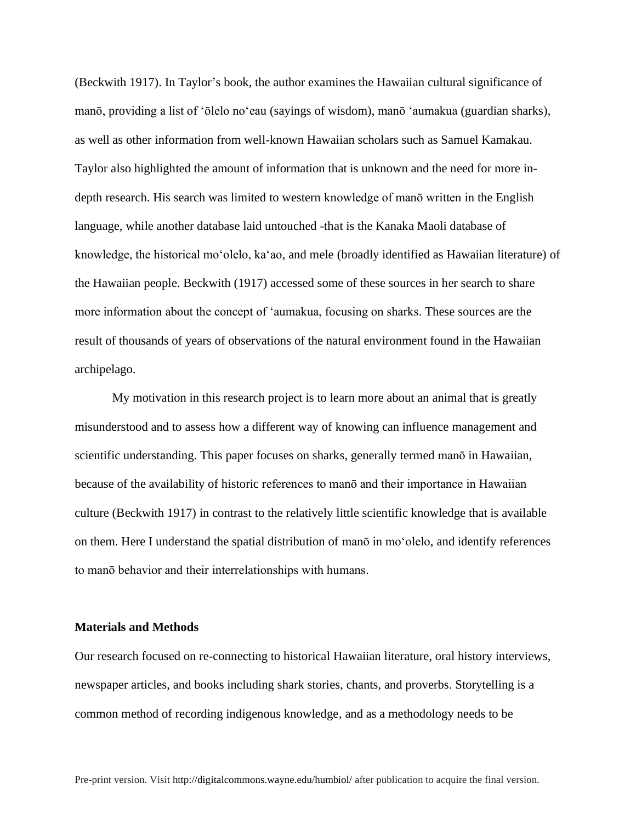(Beckwith 1917). In Taylor's book, the author examines the Hawaiian cultural significance of manō, providing a list of ʻōlelo noʻeau (sayings of wisdom), manō ʻaumakua (guardian sharks), as well as other information from well-known Hawaiian scholars such as Samuel Kamakau. Taylor also highlighted the amount of information that is unknown and the need for more indepth research. His search was limited to western knowledge of manō written in the English language, while another database laid untouched -that is the Kanaka Maoli database of knowledge, the historical moʻolelo, kaʻao, and mele (broadly identified as Hawaiian literature) of the Hawaiian people. Beckwith (1917) accessed some of these sources in her search to share more information about the concept of ʻaumakua, focusing on sharks. These sources are the result of thousands of years of observations of the natural environment found in the Hawaiian archipelago.

My motivation in this research project is to learn more about an animal that is greatly misunderstood and to assess how a different way of knowing can influence management and scientific understanding. This paper focuses on sharks, generally termed manō in Hawaiian, because of the availability of historic references to manō and their importance in Hawaiian culture (Beckwith 1917) in contrast to the relatively little scientific knowledge that is available on them. Here I understand the spatial distribution of manō in moʻolelo, and identify references to manō behavior and their interrelationships with humans.

#### **Materials and Methods**

Our research focused on re-connecting to historical Hawaiian literature, oral history interviews, newspaper articles, and books including shark stories, chants, and proverbs. Storytelling is a common method of recording indigenous knowledge, and as a methodology needs to be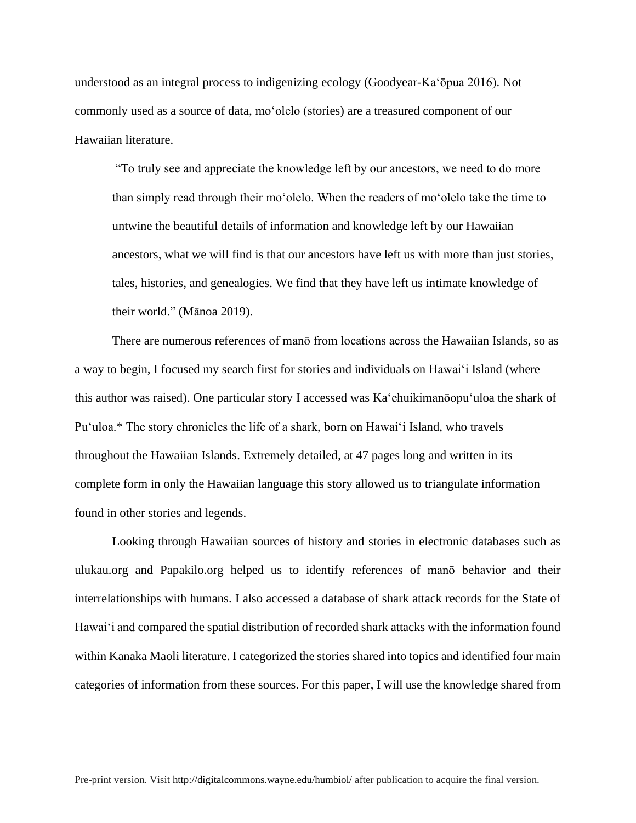understood as an integral process to indigenizing ecology (Goodyear-Kaʻōpua 2016). Not commonly used as a source of data, moʻolelo (stories) are a treasured component of our Hawaiian literature.

"To truly see and appreciate the knowledge left by our ancestors, we need to do more than simply read through their moʻolelo. When the readers of moʻolelo take the time to untwine the beautiful details of information and knowledge left by our Hawaiian ancestors, what we will find is that our ancestors have left us with more than just stories, tales, histories, and genealogies. We find that they have left us intimate knowledge of their world." (Mānoa 2019).

There are numerous references of manō from locations across the Hawaiian Islands, so as a way to begin, I focused my search first for stories and individuals on Hawaiʻi Island (where this author was raised). One particular story I accessed was Kaʻehuikimanōopuʻuloa the shark of Puʻuloa.\* The story chronicles the life of a shark, born on Hawaiʻi Island, who travels throughout the Hawaiian Islands. Extremely detailed, at 47 pages long and written in its complete form in only the Hawaiian language this story allowed us to triangulate information found in other stories and legends.

Looking through Hawaiian sources of history and stories in electronic databases such as ulukau.org and Papakilo.org helped us to identify references of manō behavior and their interrelationships with humans. I also accessed a database of shark attack records for the State of Hawaiʻi and compared the spatial distribution of recorded shark attacks with the information found within Kanaka Maoli literature. I categorized the stories shared into topics and identified four main categories of information from these sources. For this paper, I will use the knowledge shared from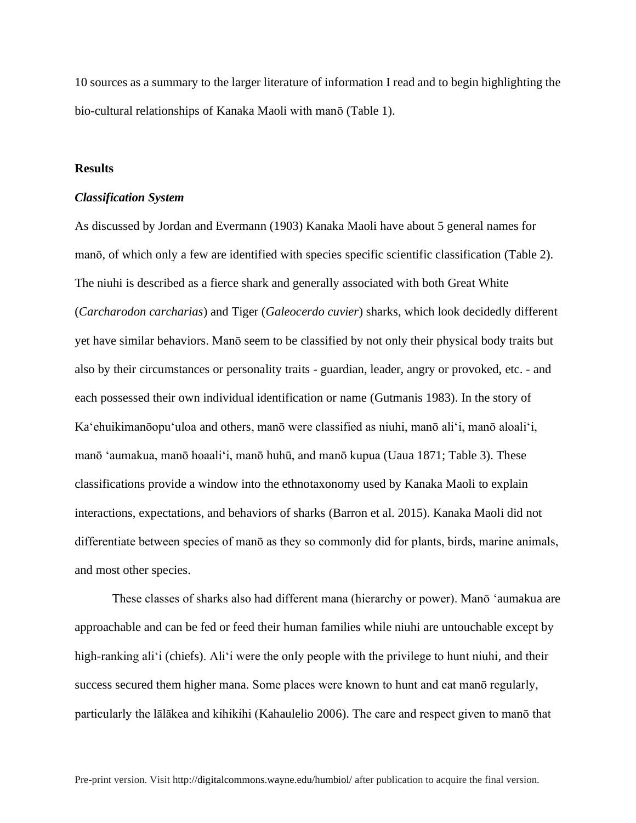10 sources as a summary to the larger literature of information I read and to begin highlighting the bio-cultural relationships of Kanaka Maoli with manō (Table 1).

# **Results**

#### *Classification System*

As discussed by Jordan and Evermann (1903) Kanaka Maoli have about 5 general names for manō, of which only a few are identified with species specific scientific classification (Table 2). The niuhi is described as a fierce shark and generally associated with both Great White (*Carcharodon carcharias*) and Tiger (*Galeocerdo cuvier*) sharks, which look decidedly different yet have similar behaviors. Manō seem to be classified by not only their physical body traits but also by their circumstances or personality traits - guardian, leader, angry or provoked, etc. - and each possessed their own individual identification or name (Gutmanis 1983). In the story of Kaʻehuikimanōopuʻuloa and others, manō were classified as niuhi, manō aliʻi, manō aloaliʻi, manō ʻaumakua, manō hoaaliʻi, manō huhū, and manō kupua (Uaua 1871; Table 3). These classifications provide a window into the ethnotaxonomy used by Kanaka Maoli to explain interactions, expectations, and behaviors of sharks (Barron et al. 2015). Kanaka Maoli did not differentiate between species of manō as they so commonly did for plants, birds, marine animals, and most other species.

These classes of sharks also had different mana (hierarchy or power). Manō ʻaumakua are approachable and can be fed or feed their human families while niuhi are untouchable except by high-ranking aliʻi (chiefs). Aliʻi were the only people with the privilege to hunt niuhi, and their success secured them higher mana. Some places were known to hunt and eat manō regularly, particularly the lālākea and kihikihi (Kahaulelio 2006). The care and respect given to manō that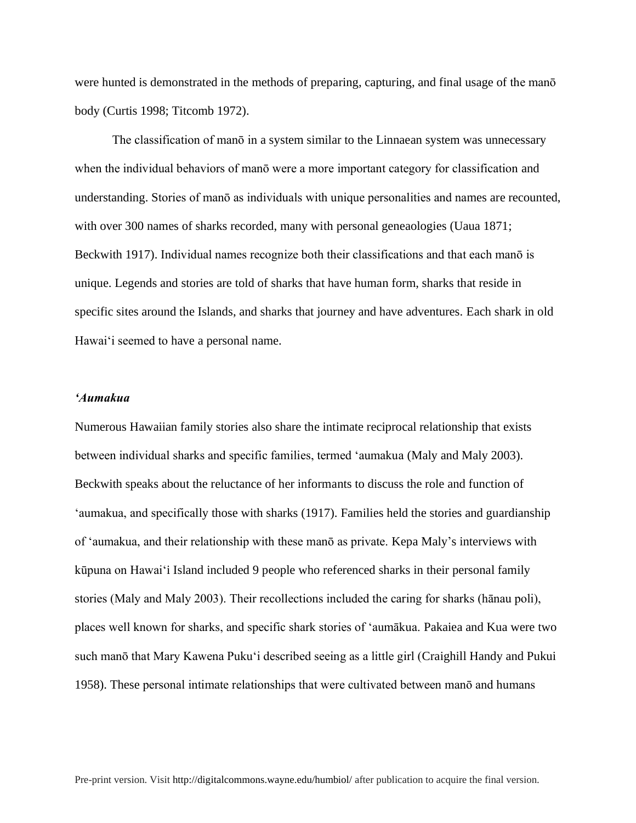were hunted is demonstrated in the methods of preparing, capturing, and final usage of the manō body (Curtis 1998; Titcomb 1972).

The classification of manō in a system similar to the Linnaean system was unnecessary when the individual behaviors of mano were a more important category for classification and understanding. Stories of manō as individuals with unique personalities and names are recounted, with over 300 names of sharks recorded, many with personal geneaologies (Uaua 1871; Beckwith 1917). Individual names recognize both their classifications and that each manō is unique. Legends and stories are told of sharks that have human form, sharks that reside in specific sites around the Islands, and sharks that journey and have adventures. Each shark in old Hawaiʻi seemed to have a personal name.

# *ʻAumakua*

Numerous Hawaiian family stories also share the intimate reciprocal relationship that exists between individual sharks and specific families, termed ʻaumakua (Maly and Maly 2003). Beckwith speaks about the reluctance of her informants to discuss the role and function of ʻaumakua, and specifically those with sharks (1917). Families held the stories and guardianship of ʻaumakua, and their relationship with these manō as private. Kepa Maly's interviews with kūpuna on Hawaiʻi Island included 9 people who referenced sharks in their personal family stories (Maly and Maly 2003). Their recollections included the caring for sharks (hānau poli), places well known for sharks, and specific shark stories of ʻaumākua. Pakaiea and Kua were two such manō that Mary Kawena Pukuʻi described seeing as a little girl (Craighill Handy and Pukui 1958). These personal intimate relationships that were cultivated between manō and humans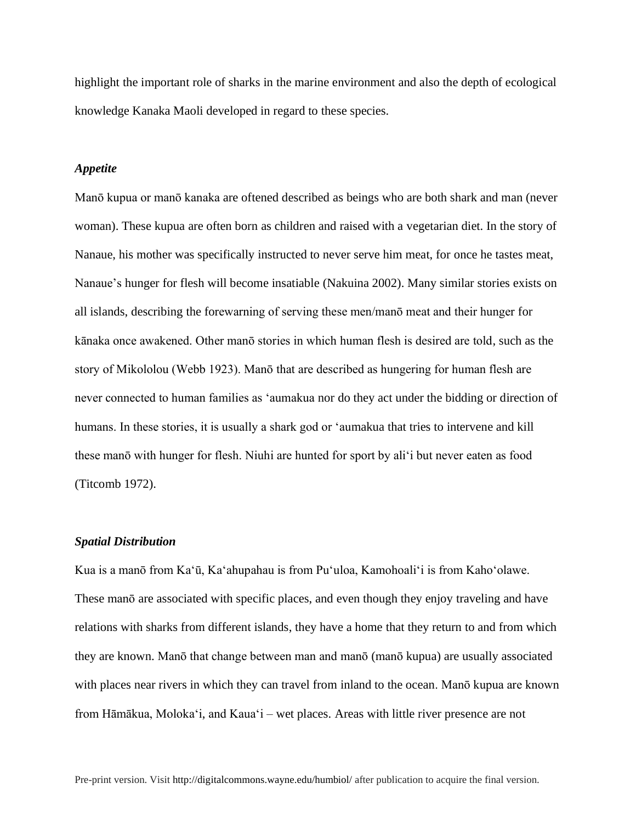highlight the important role of sharks in the marine environment and also the depth of ecological knowledge Kanaka Maoli developed in regard to these species.

#### *Appetite*

Manō kupua or manō kanaka are oftened described as beings who are both shark and man (never woman). These kupua are often born as children and raised with a vegetarian diet. In the story of Nanaue, his mother was specifically instructed to never serve him meat, for once he tastes meat, Nanaue's hunger for flesh will become insatiable (Nakuina 2002). Many similar stories exists on all islands, describing the forewarning of serving these men/manō meat and their hunger for kānaka once awakened. Other manō stories in which human flesh is desired are told, such as the story of Mikololou (Webb 1923). Manō that are described as hungering for human flesh are never connected to human families as ʻaumakua nor do they act under the bidding or direction of humans. In these stories, it is usually a shark god or ʻaumakua that tries to intervene and kill these manō with hunger for flesh. Niuhi are hunted for sport by aliʻi but never eaten as food (Titcomb 1972).

#### *Spatial Distribution*

Kua is a manō from Kaʻū, Kaʻahupahau is from Puʻuloa, Kamohoaliʻi is from Kahoʻolawe. These manō are associated with specific places, and even though they enjoy traveling and have relations with sharks from different islands, they have a home that they return to and from which they are known. Manō that change between man and manō (manō kupua) are usually associated with places near rivers in which they can travel from inland to the ocean. Manō kupua are known from Hāmākua, Molokaʻi, and Kauaʻi – wet places. Areas with little river presence are not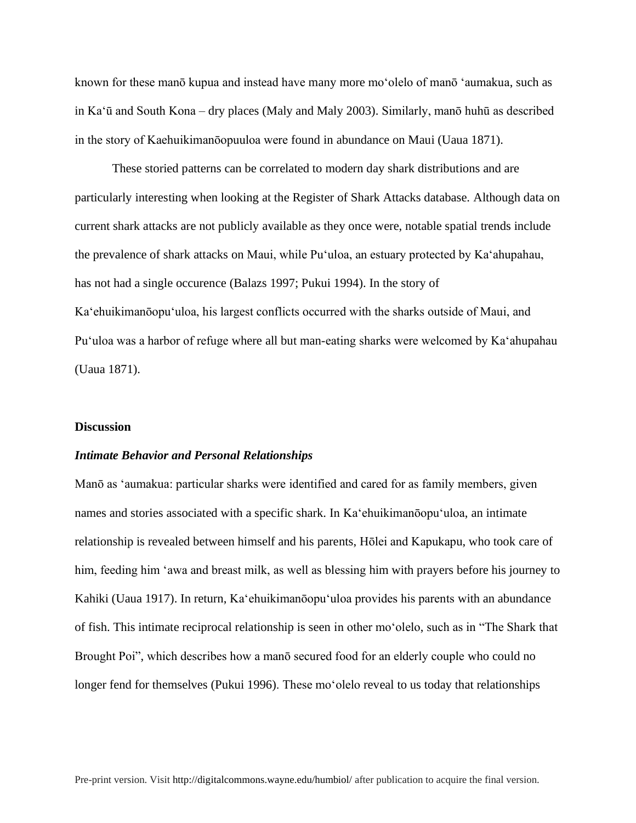known for these manō kupua and instead have many more moʻolelo of manō ʻaumakua, such as in Kaʻū and South Kona – dry places (Maly and Maly 2003). Similarly, manō huhū as described in the story of Kaehuikimanōopuuloa were found in abundance on Maui (Uaua 1871).

These storied patterns can be correlated to modern day shark distributions and are particularly interesting when looking at the Register of Shark Attacks database. Although data on current shark attacks are not publicly available as they once were, notable spatial trends include the prevalence of shark attacks on Maui, while Puʻuloa, an estuary protected by Kaʻahupahau, has not had a single occurence (Balazs 1997; Pukui 1994). In the story of Kaʻehuikimanōopuʻuloa, his largest conflicts occurred with the sharks outside of Maui, and Puʻuloa was a harbor of refuge where all but man-eating sharks were welcomed by Kaʻahupahau (Uaua 1871).

#### **Discussion**

#### *Intimate Behavior and Personal Relationships*

Manō as ʻaumakua: particular sharks were identified and cared for as family members, given names and stories associated with a specific shark. In Kaʻehuikimanōopuʻuloa, an intimate relationship is revealed between himself and his parents, Hōlei and Kapukapu, who took care of him, feeding him ʻawa and breast milk, as well as blessing him with prayers before his journey to Kahiki (Uaua 1917). In return, Kaʻehuikimanōopuʻuloa provides his parents with an abundance of fish. This intimate reciprocal relationship is seen in other moʻolelo, such as in "The Shark that Brought Poi", which describes how a manō secured food for an elderly couple who could no longer fend for themselves (Pukui 1996). These moʻolelo reveal to us today that relationships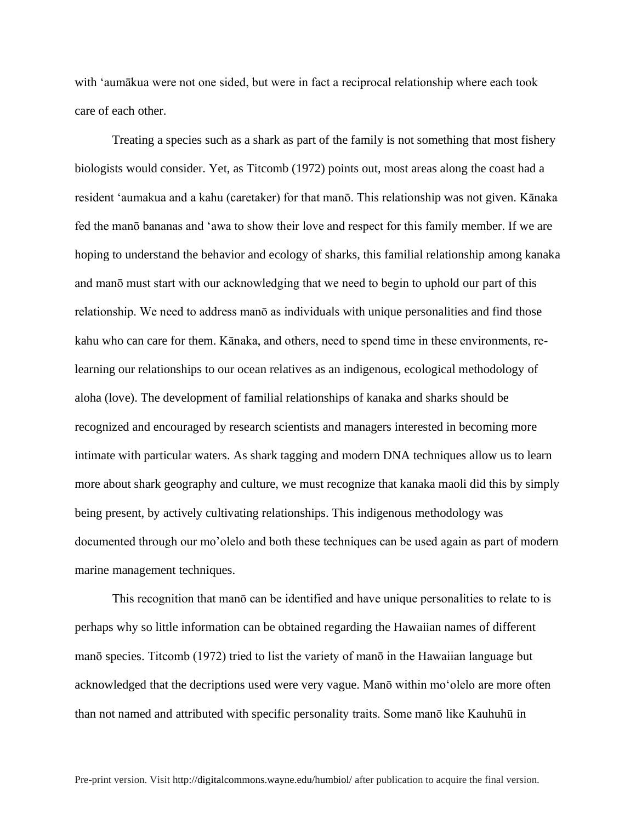with ʻaumākua were not one sided, but were in fact a reciprocal relationship where each took care of each other.

Treating a species such as a shark as part of the family is not something that most fishery biologists would consider. Yet, as Titcomb (1972) points out, most areas along the coast had a resident ʻaumakua and a kahu (caretaker) for that manō. This relationship was not given. Kānaka fed the manō bananas and ʻawa to show their love and respect for this family member. If we are hoping to understand the behavior and ecology of sharks, this familial relationship among kanaka and manō must start with our acknowledging that we need to begin to uphold our part of this relationship. We need to address manō as individuals with unique personalities and find those kahu who can care for them. Kānaka, and others, need to spend time in these environments, relearning our relationships to our ocean relatives as an indigenous, ecological methodology of aloha (love). The development of familial relationships of kanaka and sharks should be recognized and encouraged by research scientists and managers interested in becoming more intimate with particular waters. As shark tagging and modern DNA techniques allow us to learn more about shark geography and culture, we must recognize that kanaka maoli did this by simply being present, by actively cultivating relationships. This indigenous methodology was documented through our mo'olelo and both these techniques can be used again as part of modern marine management techniques.

This recognition that manō can be identified and have unique personalities to relate to is perhaps why so little information can be obtained regarding the Hawaiian names of different manō species. Titcomb (1972) tried to list the variety of manō in the Hawaiian language but acknowledged that the decriptions used were very vague. Manō within moʻolelo are more often than not named and attributed with specific personality traits. Some manō like Kauhuhū in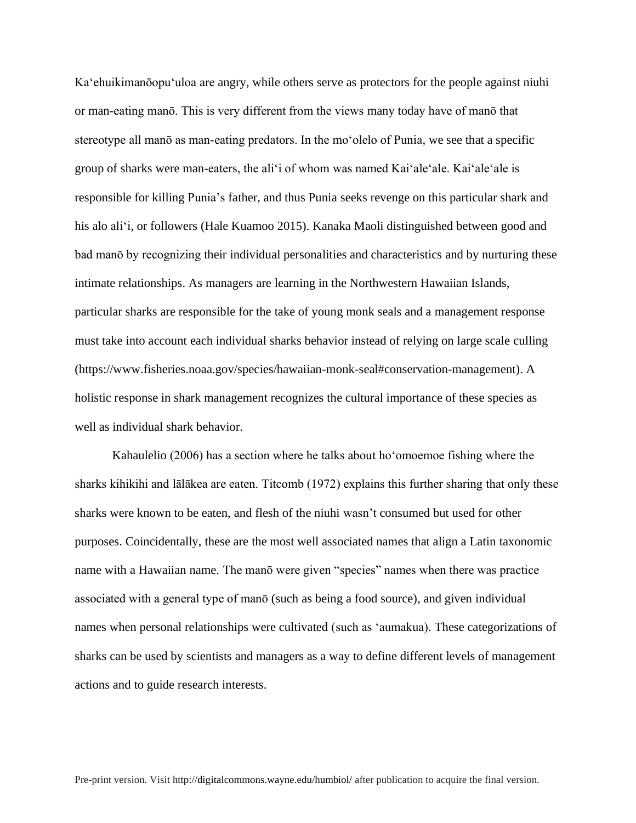Kaʻehuikimanōopuʻuloa are angry, while others serve as protectors for the people against niuhi or man-eating manō. This is very different from the views many today have of manō that stereotype all manō as man-eating predators. In the moʻolelo of Punia, we see that a specific group of sharks were man-eaters, the aliʻi of whom was named Kaiʻaleʻale. Kaiʻaleʻale is responsible for killing Punia's father, and thus Punia seeks revenge on this particular shark and his alo aliʻi, or followers (Hale Kuamoo 2015). Kanaka Maoli distinguished between good and bad manō by recognizing their individual personalities and characteristics and by nurturing these intimate relationships. As managers are learning in the Northwestern Hawaiian Islands, particular sharks are responsible for the take of young monk seals and a management response must take into account each individual sharks behavior instead of relying on large scale culling (https://www.fisheries.noaa.gov/species/hawaiian-monk-seal#conservation-management). A holistic response in shark management recognizes the cultural importance of these species as well as individual shark behavior.

Kahaulelio (2006) has a section where he talks about hoʻomoemoe fishing where the sharks kihikihi and lālākea are eaten. Titcomb (1972) explains this further sharing that only these sharks were known to be eaten, and flesh of the niuhi wasn't consumed but used for other purposes. Coincidentally, these are the most well associated names that align a Latin taxonomic name with a Hawaiian name. The manō were given "species" names when there was practice associated with a general type of manō (such as being a food source), and given individual names when personal relationships were cultivated (such as ʻaumakua). These categorizations of sharks can be used by scientists and managers as a way to define different levels of management actions and to guide research interests.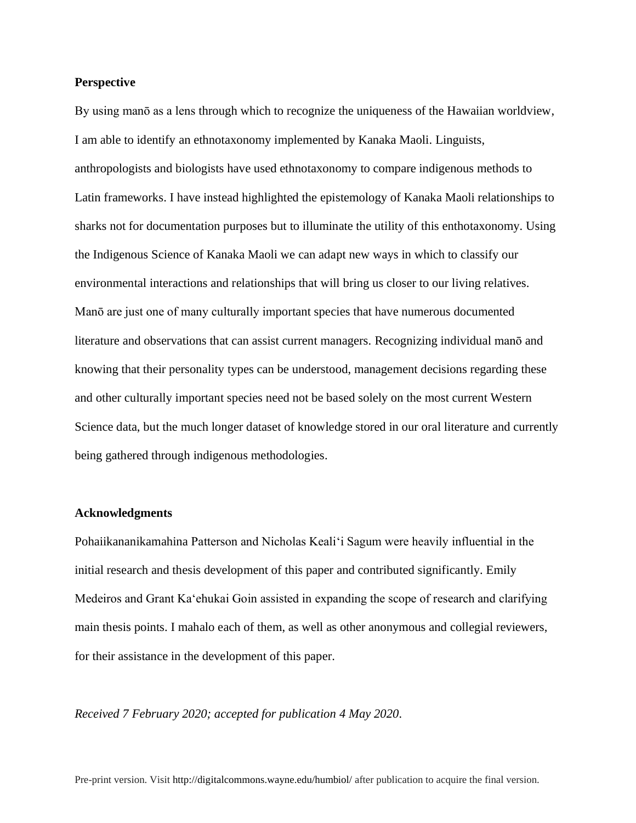# **Perspective**

By using manō as a lens through which to recognize the uniqueness of the Hawaiian worldview, I am able to identify an ethnotaxonomy implemented by Kanaka Maoli. Linguists, anthropologists and biologists have used ethnotaxonomy to compare indigenous methods to Latin frameworks. I have instead highlighted the epistemology of Kanaka Maoli relationships to sharks not for documentation purposes but to illuminate the utility of this enthotaxonomy. Using the Indigenous Science of Kanaka Maoli we can adapt new ways in which to classify our environmental interactions and relationships that will bring us closer to our living relatives. Manō are just one of many culturally important species that have numerous documented literature and observations that can assist current managers. Recognizing individual manō and knowing that their personality types can be understood, management decisions regarding these and other culturally important species need not be based solely on the most current Western Science data, but the much longer dataset of knowledge stored in our oral literature and currently being gathered through indigenous methodologies.

#### **Acknowledgments**

Pohaiikananikamahina Patterson and Nicholas Kealiʻi Sagum were heavily influential in the initial research and thesis development of this paper and contributed significantly. Emily Medeiros and Grant Kaʻehukai Goin assisted in expanding the scope of research and clarifying main thesis points. I mahalo each of them, as well as other anonymous and collegial reviewers, for their assistance in the development of this paper.

# *Received 7 February 2020; accepted for publication 4 May 2020.*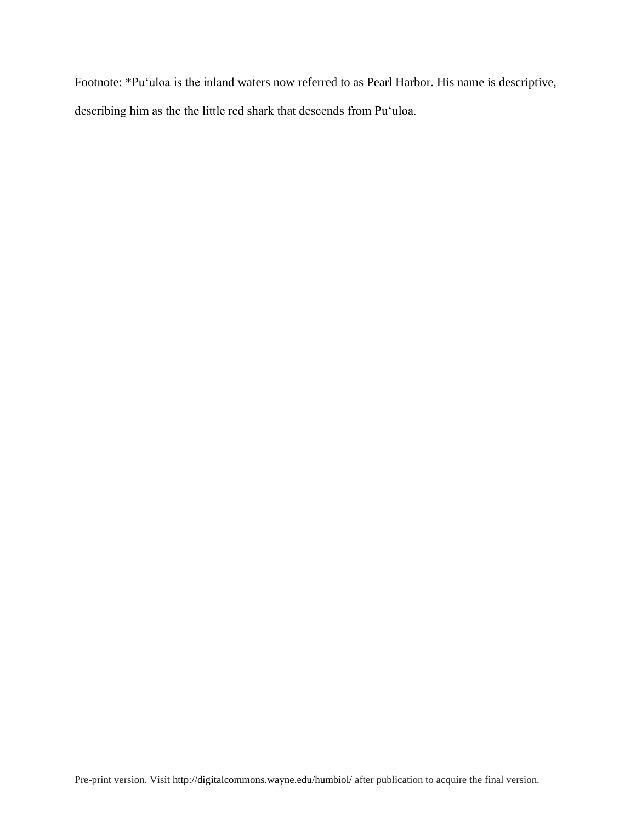Footnote: \*Puʻuloa is the inland waters now referred to as Pearl Harbor. His name is descriptive, describing him as the the little red shark that descends from Puʻuloa.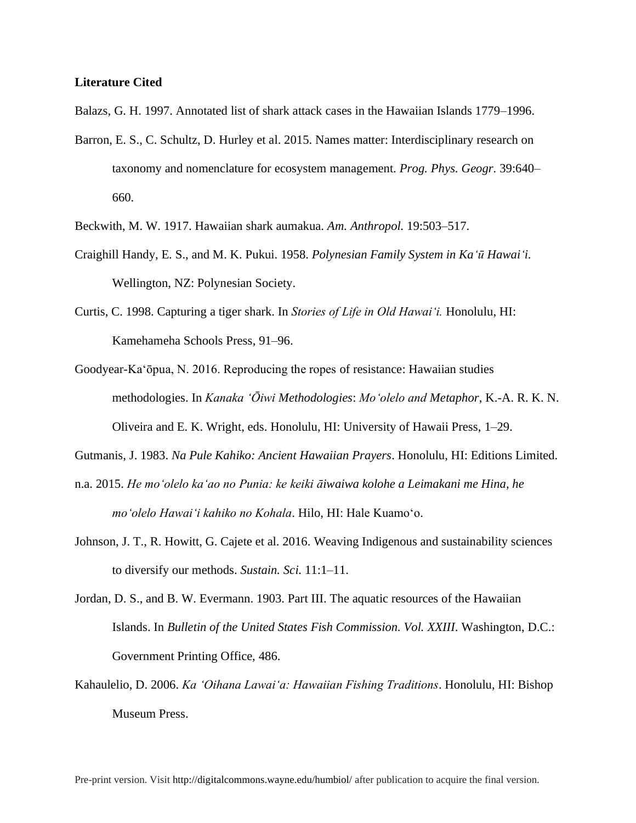# **Literature Cited**

Balazs, G. H. 1997. Annotated list of shark attack cases in the Hawaiian Islands 1779–1996.

- Barron, E. S., C. Schultz, D. Hurley et al. 2015. Names matter: Interdisciplinary research on taxonomy and nomenclature for ecosystem management. *Prog. Phys. Geogr.* 39:640– 660.
- Beckwith, M. W. 1917. Hawaiian shark aumakua. *Am. Anthropol.* 19:503–517.
- Craighill Handy, E. S., and M. K. Pukui. 1958. *Polynesian Family System in Kaʻū Hawaiʻi*. Wellington, NZ: Polynesian Society.
- Curtis, C. 1998. Capturing a tiger shark. In *Stories of Life in Old Hawaiʻi.* Honolulu, HI: Kamehameha Schools Press, 91–96.
- Goodyear-Ka'ōpua, N. 2016. Reproducing the ropes of resistance: Hawaiian studies methodologies. In *Kanaka 'Ōiwi Methodologies*: *Mo'olelo and Metaphor*, K.-A. R. K. N. Oliveira and E. K. Wright, eds. Honolulu, HI: University of Hawaii Press, 1–29.
- Gutmanis, J. 1983. *Na Pule Kahiko: Ancient Hawaiian Prayers*. Honolulu, HI: Editions Limited.
- n.a. 2015. *He moʻolelo kaʻao no Punia: ke keiki āiwaiwa kolohe a Leimakani me Hina, he moʻolelo Hawaiʻi kahiko no Kohala*. Hilo, HI: Hale Kuamoʻo.
- Johnson, J. T., R. Howitt, G. Cajete et al. 2016. Weaving Indigenous and sustainability sciences to diversify our methods. *Sustain. Sci.* 11:1–11.
- Jordan, D. S., and B. W. Evermann. 1903. Part III. The aquatic resources of the Hawaiian Islands. In *Bulletin of the United States Fish Commission. Vol. XXIII*. Washington, D.C.: Government Printing Office, 486.
- Kahaulelio, D. 2006. *Ka ʻOihana Lawaiʻa: Hawaiian Fishing Traditions*. Honolulu, HI: Bishop Museum Press.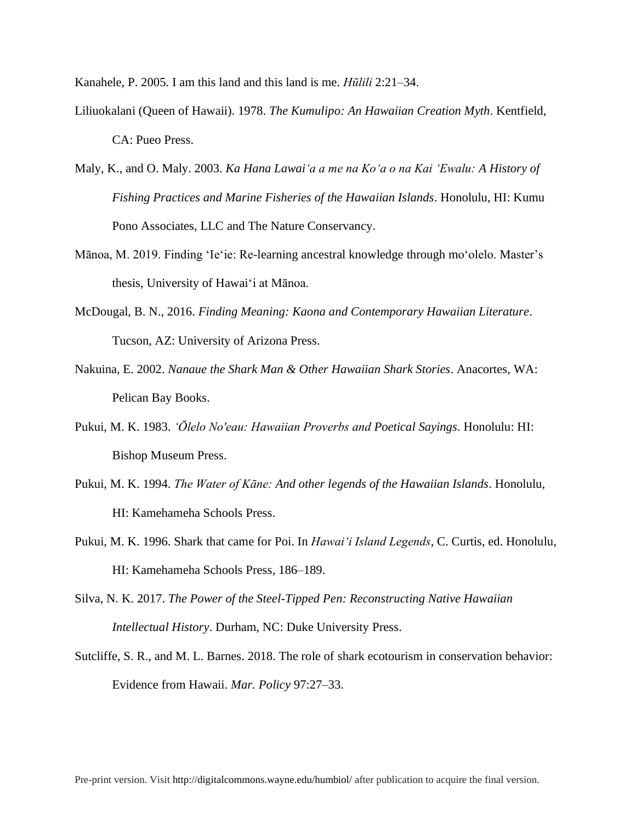Kanahele, P. 2005. I am this land and this land is me. *Hūlili* 2:21–34.

- Liliuokalani (Queen of Hawaii). 1978. *The Kumulipo: An Hawaiian Creation Myth*. Kentfield, CA: Pueo Press.
- Maly, K., and O. Maly. 2003. *Ka Hana Lawaiʻa a me na Koʻa o na Kai ʻEwalu: A History of Fishing Practices and Marine Fisheries of the Hawaiian Islands*. Honolulu, HI: Kumu Pono Associates, LLC and The Nature Conservancy.
- Mānoa, M. 2019. Finding ʻIeʻie: Re-learning ancestral knowledge through moʻolelo. Master's thesis, University of Hawaiʻi at Mānoa.
- McDougal, B. N., 2016. *Finding Meaning: Kaona and Contemporary Hawaiian Literature*. Tucson, AZ: University of Arizona Press.
- Nakuina, E. 2002. *Nanaue the Shark Man & Other Hawaiian Shark Stories*. Anacortes, WA: Pelican Bay Books.
- Pukui, M. K. 1983. *ʻŌlelo No'eau: Hawaiian Proverbs and Poetical Sayings*. Honolulu: HI: Bishop Museum Press.
- Pukui, M. K. 1994. *The Water of Kāne: And other legends of the Hawaiian Islands*. Honolulu, HI: Kamehameha Schools Press.
- Pukui, M. K. 1996. Shark that came for Poi. In *Hawaiʻi Island Legends*, C. Curtis, ed. Honolulu, HI: Kamehameha Schools Press, 186–189.
- Silva, N. K. 2017. *The Power of the Steel-Tipped Pen: Reconstructing Native Hawaiian Intellectual History*. Durham, NC: Duke University Press.
- Sutcliffe, S. R., and M. L. Barnes. 2018. The role of shark ecotourism in conservation behavior: Evidence from Hawaii. *Mar. Policy* 97:27–33.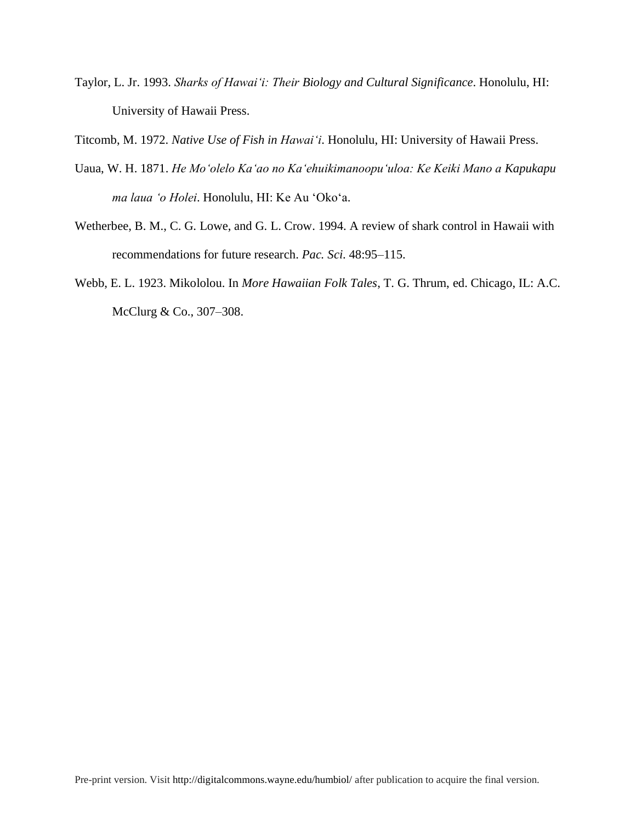- Taylor, L. Jr. 1993. *Sharks of Hawaiʻi: Their Biology and Cultural Significance*. Honolulu, HI: University of Hawaii Press.
- Titcomb, M. 1972. *Native Use of Fish in Hawaiʻi*. Honolulu, HI: University of Hawaii Press.
- Uaua, W. H. 1871. *He Moʻolelo Kaʻao no Kaʻehuikimanoopuʻuloa: Ke Keiki Mano a Kapukapu ma laua ʻo Holei*. Honolulu, HI: Ke Au ʻOkoʻa.
- Wetherbee, B. M., C. G. Lowe, and G. L. Crow. 1994. A review of shark control in Hawaii with recommendations for future research. *Pac. Sci*. 48:95–115.
- Webb, E. L. 1923. Mikololou. In *More Hawaiian Folk Tales*, T. G. Thrum, ed. Chicago, IL: A.C. McClurg & Co., 307–308.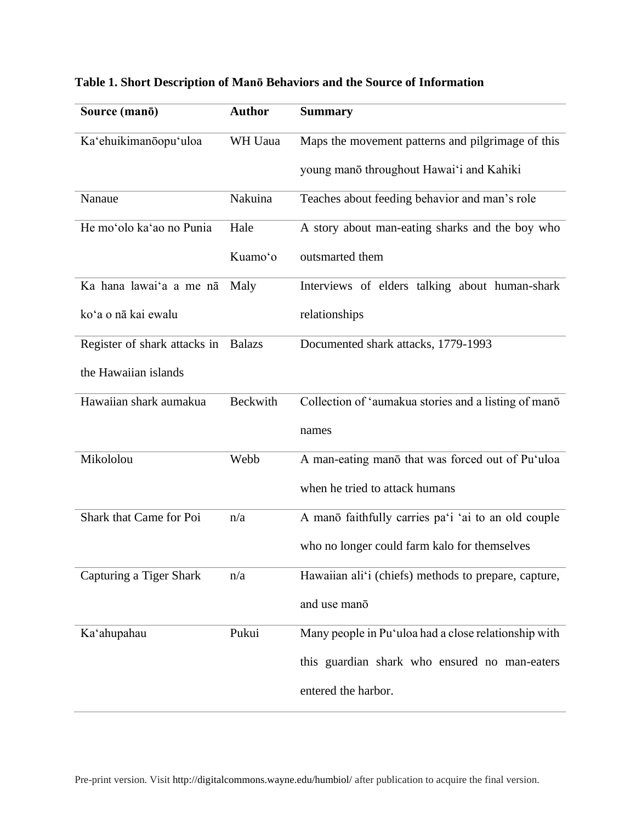| Source (mano)                | <b>Author</b>   | <b>Summary</b>                                       |  |
|------------------------------|-----------------|------------------------------------------------------|--|
| Ka'ehuikimanõopu'uloa        | WH Uaua         | Maps the movement patterns and pilgrimage of this    |  |
|                              |                 | young manō throughout Hawai'i and Kahiki             |  |
| Nanaue                       | Nakuina         | Teaches about feeding behavior and man's role        |  |
| He mo'olo ka'ao no Punia     | Hale            | A story about man-eating sharks and the boy who      |  |
|                              | Kuamo'o         | outsmarted them                                      |  |
| Ka hana lawai'a a me nā      | Maly            | Interviews of elders talking about human-shark       |  |
| ko'a o nā kai ewalu          |                 | relationships                                        |  |
| Register of shark attacks in | <b>Balazs</b>   | Documented shark attacks, 1779-1993                  |  |
| the Hawaiian islands         |                 |                                                      |  |
| Hawaiian shark aumakua       | <b>Beckwith</b> | Collection of 'aumakua stories and a listing of mano |  |
|                              |                 | names                                                |  |
| Mikololou                    | Webb            | A man-eating mano that was forced out of Pu'uloa     |  |
|                              |                 | when he tried to attack humans                       |  |
| Shark that Came for Poi      | n/a             | A manō faithfully carries pa'i 'ai to an old couple  |  |
|                              |                 | who no longer could farm kalo for themselves         |  |
| Capturing a Tiger Shark      | n/a             | Hawaiian ali'i (chiefs) methods to prepare, capture, |  |
|                              |                 | and use mano                                         |  |
| Ka'ahupahau                  | Pukui           | Many people in Pu'uloa had a close relationship with |  |
|                              |                 | this guardian shark who ensured no man-eaters        |  |
|                              |                 | entered the harbor.                                  |  |

# **Table 1. Short Description of Manō Behaviors and the Source of Information**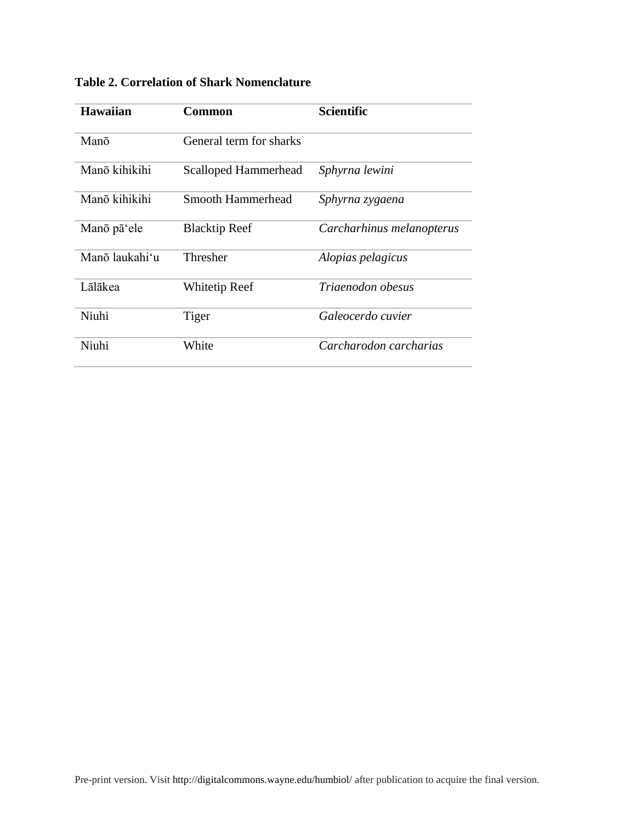| <b>Hawaiian</b> | Common                  | Scientific                |
|-----------------|-------------------------|---------------------------|
| Manō            | General term for sharks |                           |
| Manō kihikihi   | Scalloped Hammerhead    | Sphyrna lewini            |
| Manō kihikihi   | Smooth Hammerhead       | Sphyrna zygaena           |
| Manō pā'ele     | <b>Blacktip Reef</b>    | Carcharhinus melanopterus |
| Manō laukahiʻu  | Thresher                | Alopias pelagicus         |
| Lālākea         | Whitetip Reef           | Triaenodon obesus         |
| Niuhi           | Tiger                   | Galeocerdo cuvier         |
| Niuhi           | White                   | Carcharodon carcharias    |

**Table 2. Correlation of Shark Nomenclature**